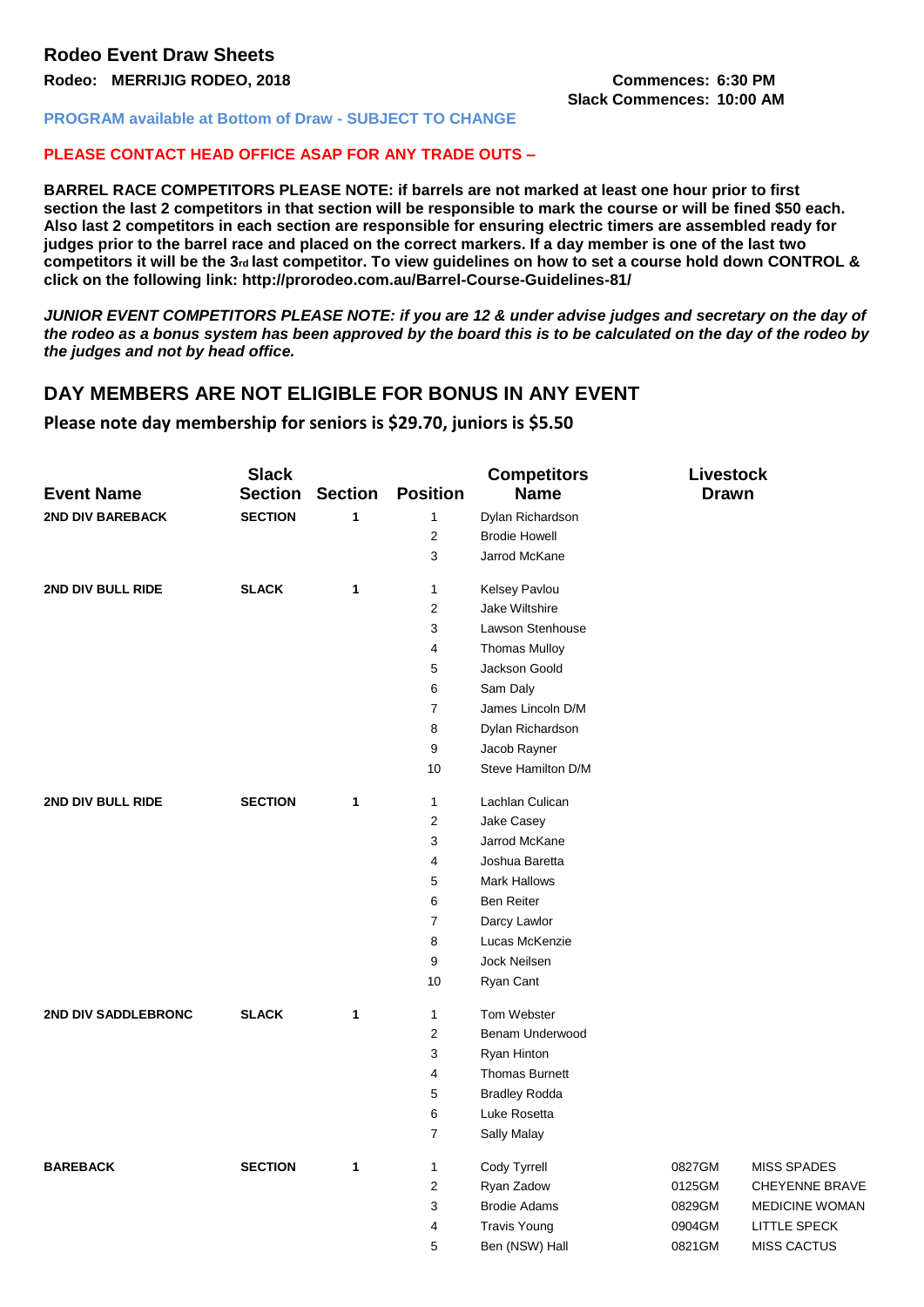# **Slack Commences: 10:00 AM**

#### **PROGRAM available at Bottom of Draw - SUBJECT TO CHANGE**

#### **PLEASE CONTACT HEAD OFFICE ASAP FOR ANY TRADE OUTS –**

**BARREL RACE COMPETITORS PLEASE NOTE: if barrels are not marked at least one hour prior to first section the last 2 competitors in that section will be responsible to mark the course or will be fined \$50 each. Also last 2 competitors in each section are responsible for ensuring electric timers are assembled ready for judges prior to the barrel race and placed on the correct markers. If a day member is one of the last two**  competitors it will be the 3<sup>*rd*</sup> last competitor. To view guidelines on how to set a course hold down CONTROL & **click on the following link: http://prorodeo.com.au/Barrel-Course-Guidelines-81/** 

*JUNIOR EVENT COMPETITORS PLEASE NOTE: if you are 12 & under advise judges and secretary on the day of the rodeo as a bonus system has been approved by the board this is to be calculated on the day of the rodeo by the judges and not by head office.* 

# **DAY MEMBERS ARE NOT ELIGIBLE FOR BONUS IN ANY EVENT**

#### **Please note day membership for seniors is \$29.70, juniors is \$5.50**

| <b>Event Name</b>       | <b>Slack</b><br><b>Section</b> | <b>Section</b> | <b>Position</b>  | <b>Competitors</b><br><b>Name</b> | Livestock<br><b>Drawn</b> |                       |
|-------------------------|--------------------------------|----------------|------------------|-----------------------------------|---------------------------|-----------------------|
| <b>2ND DIV BAREBACK</b> | <b>SECTION</b>                 | $\mathbf{1}$   | $\mathbf{1}$     | Dylan Richardson                  |                           |                       |
|                         |                                |                | $\overline{2}$   | <b>Brodie Howell</b>              |                           |                       |
|                         |                                |                | 3                | Jarrod McKane                     |                           |                       |
| 2ND DIV BULL RIDE       | <b>SLACK</b>                   | 1              | $\mathbf{1}$     | Kelsey Pavlou                     |                           |                       |
|                         |                                |                | $\sqrt{2}$       | Jake Wiltshire                    |                           |                       |
|                         |                                |                | 3                | Lawson Stenhouse                  |                           |                       |
|                         |                                |                | 4                | <b>Thomas Mulloy</b>              |                           |                       |
|                         |                                |                | 5                | Jackson Goold                     |                           |                       |
|                         |                                |                | 6                | Sam Daly                          |                           |                       |
|                         |                                |                | $\boldsymbol{7}$ | James Lincoln D/M                 |                           |                       |
|                         |                                |                | 8                | Dylan Richardson                  |                           |                       |
|                         |                                |                | 9                | Jacob Rayner                      |                           |                       |
|                         |                                |                | 10               | Steve Hamilton D/M                |                           |                       |
| 2ND DIV BULL RIDE       | <b>SECTION</b>                 | 1              | 1                | Lachlan Culican                   |                           |                       |
|                         |                                |                | $\sqrt{2}$       | Jake Casey                        |                           |                       |
|                         |                                |                | 3                | Jarrod McKane                     |                           |                       |
|                         |                                |                | 4                | Joshua Baretta                    |                           |                       |
|                         |                                |                | 5                | <b>Mark Hallows</b>               |                           |                       |
|                         |                                |                | 6                | <b>Ben Reiter</b>                 |                           |                       |
|                         |                                |                | $\overline{7}$   | Darcy Lawlor                      |                           |                       |
|                         |                                |                | $\bf8$           | Lucas McKenzie                    |                           |                       |
|                         |                                |                | 9                | Jock Neilsen                      |                           |                       |
|                         |                                |                | 10               | Ryan Cant                         |                           |                       |
| 2ND DIV SADDLEBRONC     | <b>SLACK</b>                   | 1              | $\mathbf{1}$     | Tom Webster                       |                           |                       |
|                         |                                |                | $\overline{2}$   | Benam Underwood                   |                           |                       |
|                         |                                |                | 3                | Ryan Hinton                       |                           |                       |
|                         |                                |                | 4                | <b>Thomas Burnett</b>             |                           |                       |
|                         |                                |                | 5                | <b>Bradley Rodda</b>              |                           |                       |
|                         |                                |                | 6                | Luke Rosetta                      |                           |                       |
|                         |                                |                | $\overline{7}$   | Sally Malay                       |                           |                       |
| <b>BAREBACK</b>         | <b>SECTION</b>                 | 1              | 1                | Cody Tyrrell                      | 0827GM                    | <b>MISS SPADES</b>    |
|                         |                                |                | $\boldsymbol{2}$ | Ryan Zadow                        | 0125GM                    | <b>CHEYENNE BRAVE</b> |
|                         |                                |                | 3                | <b>Brodie Adams</b>               | 0829GM                    | <b>MEDICINE WOMAN</b> |
|                         |                                |                | 4                | <b>Travis Young</b>               | 0904GM                    | <b>LITTLE SPECK</b>   |
|                         |                                |                | 5                | Ben (NSW) Hall                    | 0821GM                    | <b>MISS CACTUS</b>    |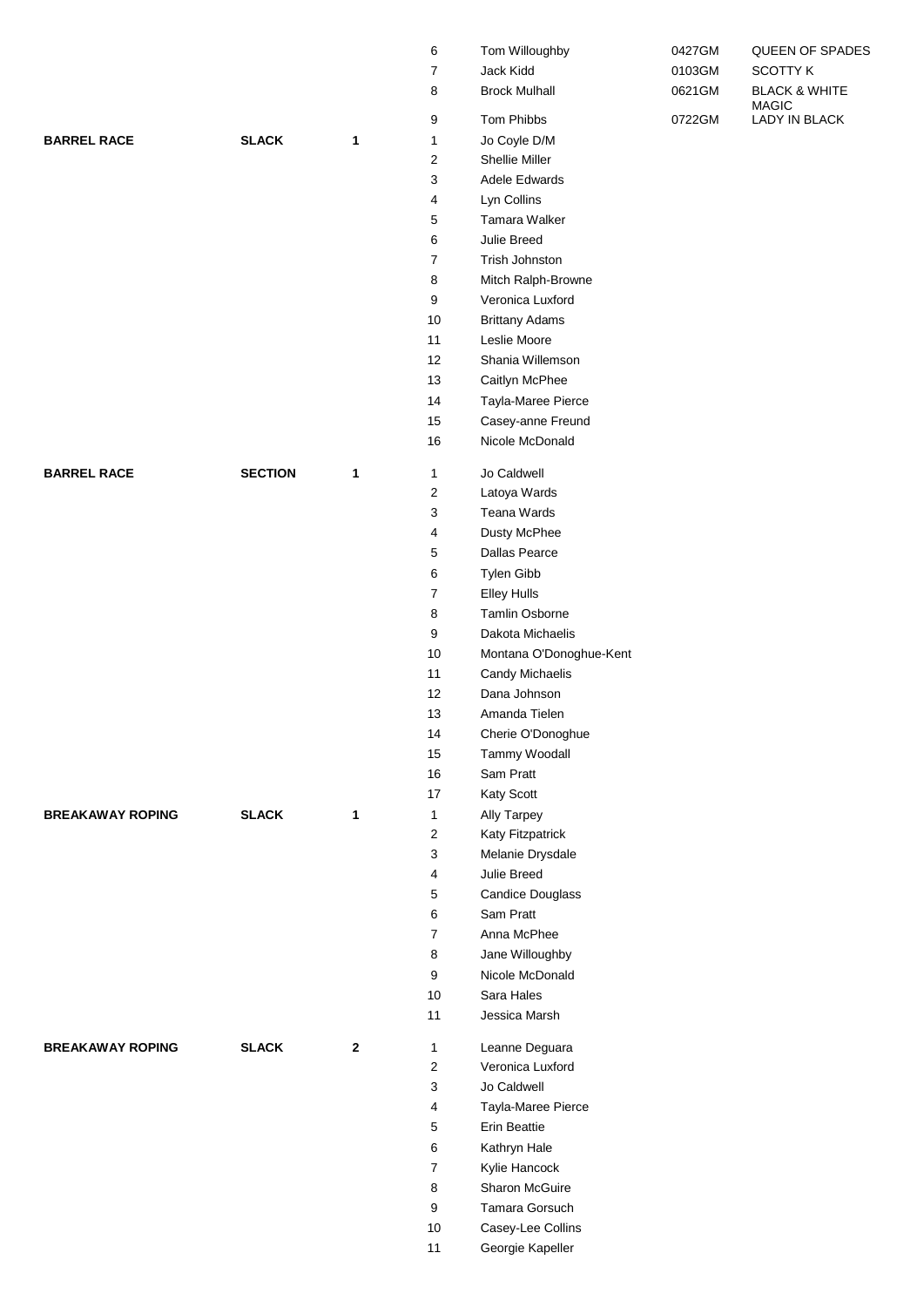|                         |                |              | 6                       | Tom Willoughby          | 0427GM | QUEEN OF SPADES                          |
|-------------------------|----------------|--------------|-------------------------|-------------------------|--------|------------------------------------------|
|                         |                |              | 7                       | Jack Kidd               | 0103GM | <b>SCOTTY K</b>                          |
|                         |                |              | 8                       | <b>Brock Mulhall</b>    | 0621GM | <b>BLACK &amp; WHITE</b><br><b>MAGIC</b> |
|                         |                |              | 9                       | Tom Phibbs              | 0722GM | LADY IN BLACK                            |
| <b>BARREL RACE</b>      | <b>SLACK</b>   | 1            | 1                       | Jo Coyle D/M            |        |                                          |
|                         |                |              | 2                       | Shellie Miller          |        |                                          |
|                         |                |              | 3                       | Adele Edwards           |        |                                          |
|                         |                |              | 4                       | Lyn Collins             |        |                                          |
|                         |                |              | 5                       | Tamara Walker           |        |                                          |
|                         |                |              | 6                       | Julie Breed             |        |                                          |
|                         |                |              | 7                       | Trish Johnston          |        |                                          |
|                         |                |              | 8                       | Mitch Ralph-Browne      |        |                                          |
|                         |                |              | 9                       | Veronica Luxford        |        |                                          |
|                         |                |              | 10                      | <b>Brittany Adams</b>   |        |                                          |
|                         |                |              | 11                      | Leslie Moore            |        |                                          |
|                         |                |              | 12                      | Shania Willemson        |        |                                          |
|                         |                |              | 13                      | Caitlyn McPhee          |        |                                          |
|                         |                |              | 14                      | Tayla-Maree Pierce      |        |                                          |
|                         |                |              | 15                      | Casey-anne Freund       |        |                                          |
|                         |                |              | 16                      | Nicole McDonald         |        |                                          |
| <b>BARREL RACE</b>      | <b>SECTION</b> | 1            | 1                       | Jo Caldwell             |        |                                          |
|                         |                |              | $\mathbf 2$             | Latoya Wards            |        |                                          |
|                         |                |              | 3                       | Teana Wards             |        |                                          |
|                         |                |              | 4                       | Dusty McPhee            |        |                                          |
|                         |                |              | 5                       | <b>Dallas Pearce</b>    |        |                                          |
|                         |                |              | 6                       | Tylen Gibb              |        |                                          |
|                         |                |              | $\boldsymbol{7}$        | <b>Elley Hulls</b>      |        |                                          |
|                         |                |              | 8                       | Tamlin Osborne          |        |                                          |
|                         |                |              | 9                       | Dakota Michaelis        |        |                                          |
|                         |                |              | 10                      | Montana O'Donoghue-Kent |        |                                          |
|                         |                |              | 11                      | Candy Michaelis         |        |                                          |
|                         |                |              | 12                      | Dana Johnson            |        |                                          |
|                         |                |              | 13                      | Amanda Tielen           |        |                                          |
|                         |                |              | 14                      | Cherie O'Donoghue       |        |                                          |
|                         |                |              | 15                      | Tammy Woodall           |        |                                          |
|                         |                |              | 16                      | Sam Pratt               |        |                                          |
|                         |                |              | 17                      | Katy Scott              |        |                                          |
| <b>BREAKAWAY ROPING</b> | <b>SLACK</b>   | 1            | 1                       | Ally Tarpey             |        |                                          |
|                         |                |              | $\overline{\mathbf{c}}$ | Katy Fitzpatrick        |        |                                          |
|                         |                |              | 3                       | Melanie Drysdale        |        |                                          |
|                         |                |              | 4                       | Julie Breed             |        |                                          |
|                         |                |              | 5                       | Candice Douglass        |        |                                          |
|                         |                |              | 6                       | Sam Pratt               |        |                                          |
|                         |                |              | $\overline{7}$          | Anna McPhee             |        |                                          |
|                         |                |              | 8                       | Jane Willoughby         |        |                                          |
|                         |                |              | 9                       | Nicole McDonald         |        |                                          |
|                         |                |              | 10                      | Sara Hales              |        |                                          |
|                         |                |              | 11                      | Jessica Marsh           |        |                                          |
| <b>BREAKAWAY ROPING</b> | <b>SLACK</b>   | $\mathbf{2}$ | 1                       | Leanne Deguara          |        |                                          |
|                         |                |              | 2                       | Veronica Luxford        |        |                                          |
|                         |                |              | 3                       | Jo Caldwell             |        |                                          |
|                         |                |              | 4                       | Tayla-Maree Pierce      |        |                                          |
|                         |                |              | 5                       | Erin Beattie            |        |                                          |
|                         |                |              | 6                       | Kathryn Hale            |        |                                          |
|                         |                |              | 7                       | Kylie Hancock           |        |                                          |
|                         |                |              | 8                       | Sharon McGuire          |        |                                          |
|                         |                |              | 9                       | Tamara Gorsuch          |        |                                          |
|                         |                |              | 10                      | Casey-Lee Collins       |        |                                          |
|                         |                |              | 11                      | Georgie Kapeller        |        |                                          |
|                         |                |              |                         |                         |        |                                          |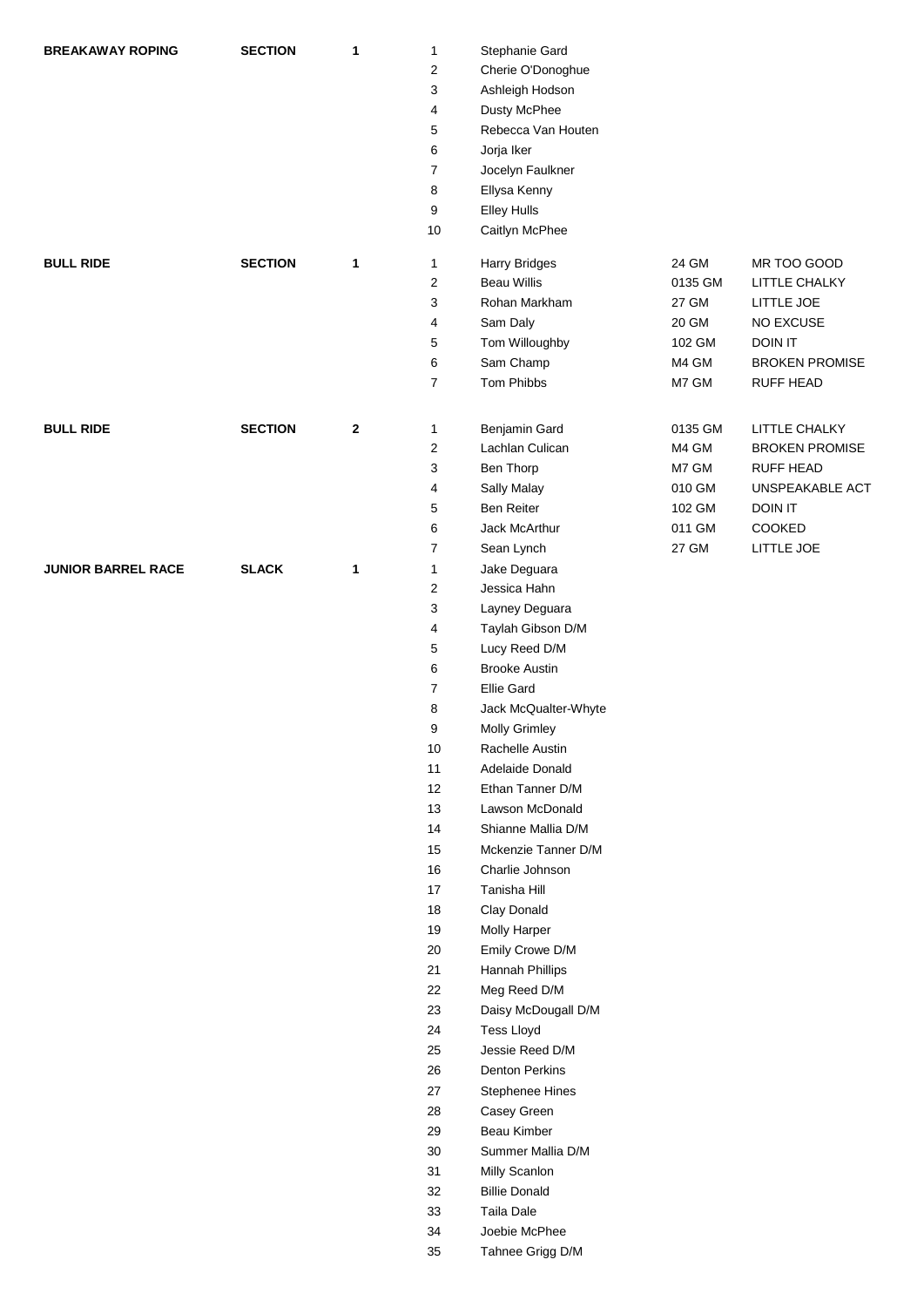| <b>BREAKAWAY ROPING</b>   | <b>SECTION</b> | 1           | 1<br>$\overline{\mathbf{c}}$<br>3<br>4<br>5<br>6<br>$\overline{7}$<br>8<br>9<br>10                                                                                                                              | Stephanie Gard<br>Cherie O'Donoghue<br>Ashleigh Hodson<br>Dusty McPhee<br>Rebecca Van Houten<br>Jorja Iker<br>Jocelyn Faulkner<br>Ellysa Kenny<br><b>Elley Hulls</b><br>Caitlyn McPhee                                                                                                                                                                                                                                                                                                                                                                                                                                                                                                        |                                                                  |                                                                                                                         |
|---------------------------|----------------|-------------|-----------------------------------------------------------------------------------------------------------------------------------------------------------------------------------------------------------------|-----------------------------------------------------------------------------------------------------------------------------------------------------------------------------------------------------------------------------------------------------------------------------------------------------------------------------------------------------------------------------------------------------------------------------------------------------------------------------------------------------------------------------------------------------------------------------------------------------------------------------------------------------------------------------------------------|------------------------------------------------------------------|-------------------------------------------------------------------------------------------------------------------------|
| <b>BULL RIDE</b>          | <b>SECTION</b> | 1           | 1<br>$\overline{\mathbf{c}}$<br>3<br>4<br>5<br>6<br>$\overline{7}$                                                                                                                                              | <b>Harry Bridges</b><br><b>Beau Willis</b><br>Rohan Markham<br>Sam Daly<br>Tom Willoughby<br>Sam Champ<br>Tom Phibbs                                                                                                                                                                                                                                                                                                                                                                                                                                                                                                                                                                          | 24 GM<br>0135 GM<br>27 GM<br>20 GM<br>102 GM<br>M4 GM<br>M7 GM   | MR TOO GOOD<br>LITTLE CHALKY<br>LITTLE JOE<br>NO EXCUSE<br><b>DOIN IT</b><br><b>BROKEN PROMISE</b><br><b>RUFF HEAD</b>  |
| <b>BULL RIDE</b>          | <b>SECTION</b> | $\mathbf 2$ | 1<br>2<br>3<br>4<br>5<br>6<br>7                                                                                                                                                                                 | Benjamin Gard<br>Lachlan Culican<br>Ben Thorp<br>Sally Malay<br><b>Ben Reiter</b><br>Jack McArthur<br>Sean Lynch                                                                                                                                                                                                                                                                                                                                                                                                                                                                                                                                                                              | 0135 GM<br>M4 GM<br>M7 GM<br>010 GM<br>102 GM<br>011 GM<br>27 GM | LITTLE CHALKY<br><b>BROKEN PROMISE</b><br><b>RUFF HEAD</b><br>UNSPEAKABLE ACT<br><b>DOIN IT</b><br>COOKED<br>LITTLE JOE |
| <b>JUNIOR BARREL RACE</b> | <b>SLACK</b>   | 1           | 1<br>2<br>3<br>4<br>5<br>6<br>7<br>8<br>9<br>10<br>11<br>12<br>13<br>14<br>$15\,$<br>16<br>17<br>$18$<br>19<br>$20\,$<br>21<br>22<br>23<br>24<br>25<br>26<br>27<br>28<br>29<br>30<br>31<br>32<br>33<br>34<br>35 | Jake Deguara<br>Jessica Hahn<br>Layney Deguara<br>Taylah Gibson D/M<br>Lucy Reed D/M<br><b>Brooke Austin</b><br><b>Ellie Gard</b><br>Jack McQualter-Whyte<br><b>Molly Grimley</b><br>Rachelle Austin<br>Adelaide Donald<br>Ethan Tanner D/M<br>Lawson McDonald<br>Shianne Mallia D/M<br>Mckenzie Tanner D/M<br>Charlie Johnson<br>Tanisha Hill<br>Clay Donald<br>Molly Harper<br>Emily Crowe D/M<br>Hannah Phillips<br>Meg Reed D/M<br>Daisy McDougall D/M<br><b>Tess Lloyd</b><br>Jessie Reed D/M<br><b>Denton Perkins</b><br>Stephenee Hines<br>Casey Green<br>Beau Kimber<br>Summer Mallia D/M<br>Milly Scanlon<br><b>Billie Donald</b><br>Taila Dale<br>Joebie McPhee<br>Tahnee Grigg D/M |                                                                  |                                                                                                                         |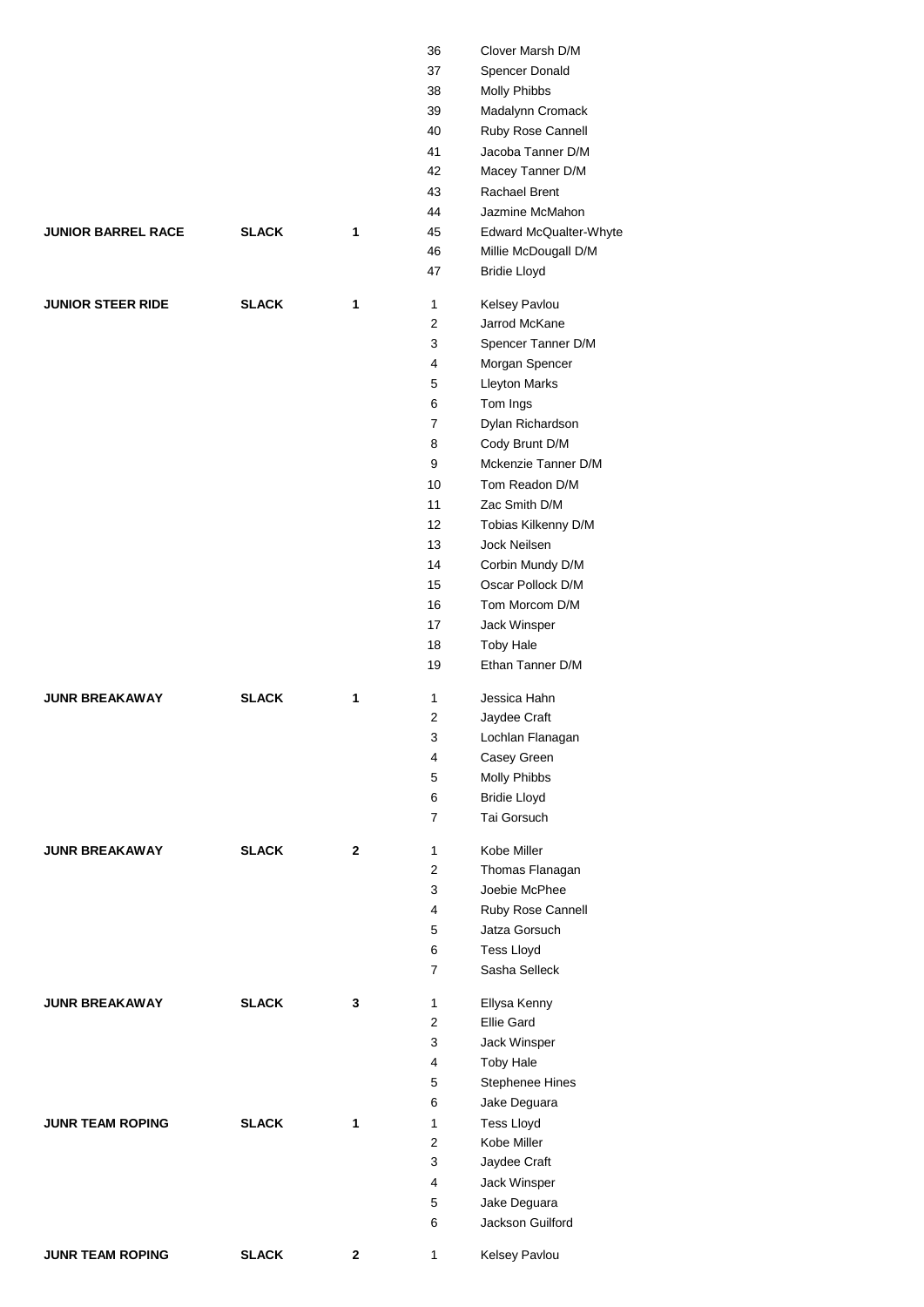|                           |              |              | 36             | Clover Marsh D/M                      |
|---------------------------|--------------|--------------|----------------|---------------------------------------|
|                           |              |              | 37             | Spencer Donald                        |
|                           |              |              | 38             | Molly Phibbs                          |
|                           |              |              | 39             | Madalynn Cromack                      |
|                           |              |              | 40             | Ruby Rose Cannell                     |
|                           |              |              | 41             | Jacoba Tanner D/M                     |
|                           |              |              | 42             | Macey Tanner D/M                      |
|                           |              |              | 43             | Rachael Brent                         |
|                           |              |              | 44             | Jazmine McMahon                       |
| <b>JUNIOR BARREL RACE</b> | <b>SLACK</b> | 1            | 45             | Edward McQualter-Whyte                |
|                           |              |              | 46             | Millie McDougall D/M                  |
|                           |              |              | 47             | <b>Bridie Lloyd</b>                   |
|                           |              |              |                |                                       |
| <b>JUNIOR STEER RIDE</b>  | <b>SLACK</b> | 1            | $\mathbf{1}$   | Kelsey Pavlou                         |
|                           |              |              | $\overline{2}$ | Jarrod McKane                         |
|                           |              |              | 3              | Spencer Tanner D/M                    |
|                           |              |              | 4              | Morgan Spencer                        |
|                           |              |              | 5              | <b>Lleyton Marks</b>                  |
|                           |              |              | 6              | Tom Ings                              |
|                           |              |              | 7              | Dylan Richardson                      |
|                           |              |              | 8              | Cody Brunt D/M                        |
|                           |              |              | 9              | Mckenzie Tanner D/M                   |
|                           |              |              | 10             | Tom Readon D/M                        |
|                           |              |              | 11             | Zac Smith D/M                         |
|                           |              |              | 12             | Tobias Kilkenny D/M                   |
|                           |              |              | 13             | Jock Neilsen                          |
|                           |              |              | 14             |                                       |
|                           |              |              | 15             | Corbin Mundy D/M<br>Oscar Pollock D/M |
|                           |              |              |                |                                       |
|                           |              |              | 16             | Tom Morcom D/M                        |
|                           |              |              | 17             | Jack Winsper                          |
|                           |              |              | 18             | <b>Toby Hale</b>                      |
|                           |              |              | 19             | Ethan Tanner D/M                      |
| <b>JUNR BREAKAWAY</b>     | <b>SLACK</b> | 1            | 1              | Jessica Hahn                          |
|                           |              |              | 2              | Jaydee Craft                          |
|                           |              |              | 3              | Lochlan Flanagan                      |
|                           |              |              | 4              | Casey Green                           |
|                           |              |              | 5              | Molly Phibbs                          |
|                           |              |              | 6              | <b>Bridie Lloyd</b>                   |
|                           |              |              | $\overline{7}$ | Tai Gorsuch                           |
|                           |              |              |                |                                       |
| <b>JUNR BREAKAWAY</b>     | <b>SLACK</b> | $\mathbf{2}$ | 1              | Kobe Miller                           |
|                           |              |              | 2              | Thomas Flanagan                       |
|                           |              |              | 3              | Joebie McPhee                         |
|                           |              |              | 4              | Ruby Rose Cannell                     |
|                           |              |              | 5              | Jatza Gorsuch                         |
|                           |              |              | 6              | <b>Tess Lloyd</b>                     |
|                           |              |              | 7              | Sasha Selleck                         |
|                           |              |              |                |                                       |
| <b>JUNR BREAKAWAY</b>     | <b>SLACK</b> | 3            | 1              | Ellysa Kenny                          |
|                           |              |              | $\overline{2}$ | <b>Ellie Gard</b>                     |
|                           |              |              | 3              | Jack Winsper                          |
|                           |              |              | 4              | <b>Toby Hale</b>                      |
|                           |              |              | 5              | Stephenee Hines                       |
|                           |              |              | 6              | Jake Deguara                          |
| <b>JUNR TEAM ROPING</b>   | <b>SLACK</b> | 1            | $\mathbf{1}$   | <b>Tess Lloyd</b>                     |
|                           |              |              | 2              | Kobe Miller                           |
|                           |              |              | 3              | Jaydee Craft                          |
|                           |              |              | 4              | Jack Winsper                          |
|                           |              |              | 5              | Jake Deguara                          |
|                           |              |              | 6              | Jackson Guilford                      |
|                           |              |              |                |                                       |
| <b>JUNR TEAM ROPING</b>   | <b>SLACK</b> | $\mathbf{2}$ | 1              | Kelsey Pavlou                         |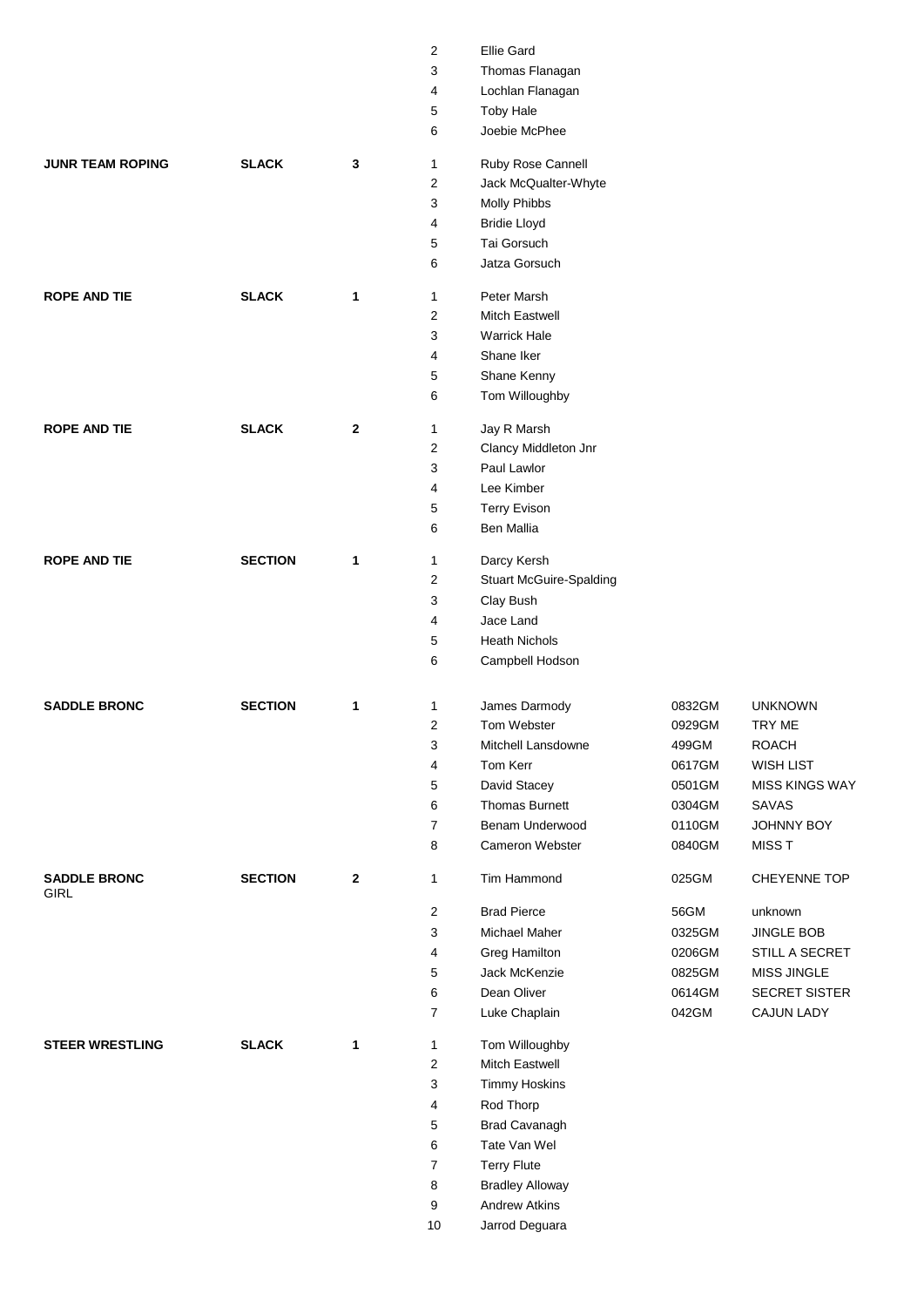|                         |                |                | 2           | <b>Ellie Gard</b>                         |        |                    |
|-------------------------|----------------|----------------|-------------|-------------------------------------------|--------|--------------------|
|                         |                |                | 3           | Thomas Flanagan                           |        |                    |
|                         |                |                | 4           | Lochlan Flanagan                          |        |                    |
|                         |                |                | 5           | <b>Toby Hale</b>                          |        |                    |
|                         |                |                | 6           | Joebie McPhee                             |        |                    |
| <b>JUNR TEAM ROPING</b> | <b>SLACK</b>   | 3              |             |                                           |        |                    |
|                         |                |                | 1<br>2      | Ruby Rose Cannell<br>Jack McQualter-Whyte |        |                    |
|                         |                |                | 3           | <b>Molly Phibbs</b>                       |        |                    |
|                         |                |                |             |                                           |        |                    |
|                         |                |                | 4           | <b>Bridie Lloyd</b><br>Tai Gorsuch        |        |                    |
|                         |                |                | 5<br>6      | Jatza Gorsuch                             |        |                    |
|                         |                |                |             |                                           |        |                    |
| <b>ROPE AND TIE</b>     | <b>SLACK</b>   | 1              | 1           | Peter Marsh                               |        |                    |
|                         |                |                | 2           | <b>Mitch Eastwell</b>                     |        |                    |
|                         |                |                | 3           | <b>Warrick Hale</b>                       |        |                    |
|                         |                |                | 4           | Shane Iker                                |        |                    |
|                         |                |                | 5           | Shane Kenny                               |        |                    |
|                         |                |                | 6           | Tom Willoughby                            |        |                    |
| <b>ROPE AND TIE</b>     | <b>SLACK</b>   | $\mathbf{2}$   | 1           | Jay R Marsh                               |        |                    |
|                         |                |                | 2           | Clancy Middleton Jnr                      |        |                    |
|                         |                |                | 3           | Paul Lawlor                               |        |                    |
|                         |                |                | 4           | Lee Kimber                                |        |                    |
|                         |                |                | 5           | <b>Terry Evison</b>                       |        |                    |
|                         |                |                | 6           | <b>Ben Mallia</b>                         |        |                    |
| <b>ROPE AND TIE</b>     | <b>SECTION</b> | $\mathbf 1$    | 1           | Darcy Kersh                               |        |                    |
|                         |                |                | 2           | <b>Stuart McGuire-Spalding</b>            |        |                    |
|                         |                |                | 3           | Clay Bush                                 |        |                    |
|                         |                |                | 4           | Jace Land                                 |        |                    |
|                         |                |                | 5           | <b>Heath Nichols</b>                      |        |                    |
|                         |                |                | 6           | Campbell Hodson                           |        |                    |
|                         |                |                |             |                                           |        |                    |
| <b>SADDLE BRONC</b>     | <b>SECTION</b> | $\mathbf 1$    | 1           | James Darmody                             | 0832GM | <b>UNKNOWN</b>     |
|                         |                |                | 2           | Tom Webster                               | 0929GM | TRY ME             |
|                         |                |                | 3           | Mitchell Lansdowne                        | 499GM  | <b>ROACH</b>       |
|                         |                |                | 4           | Tom Kerr                                  | 0617GM | <b>WISH LIST</b>   |
|                         |                |                | 5           | David Stacey                              | 0501GM | MISS KINGS WAY     |
|                         |                |                | 6           | Thomas Burnett                            | 0304GM | SAVAS              |
|                         |                |                | 7           | Benam Underwood                           | 0110GM | JOHNNY BOY         |
|                         |                |                | 8           | <b>Cameron Webster</b>                    | 0840GM | <b>MISS T</b>      |
| <b>SADDLE BRONC</b>     | <b>SECTION</b> | $\overline{2}$ | 1           | Tim Hammond                               | 025GM  | CHEYENNE TOP       |
| GIRL                    |                |                | $\mathbf 2$ | <b>Brad Pierce</b>                        | 56GM   | unknown            |
|                         |                |                | 3           | Michael Maher                             | 0325GM | <b>JINGLE BOB</b>  |
|                         |                |                | 4           | <b>Greg Hamilton</b>                      | 0206GM | STILL A SECRET     |
|                         |                |                | 5           | Jack McKenzie                             | 0825GM | <b>MISS JINGLE</b> |
|                         |                |                | 6           | Dean Oliver                               | 0614GM | SECRET SISTER      |
|                         |                |                | 7           | Luke Chaplain                             | 042GM  | <b>CAJUN LADY</b>  |
| <b>STEER WRESTLING</b>  | <b>SLACK</b>   | $\mathbf{1}$   | 1           | Tom Willoughby                            |        |                    |
|                         |                |                | 2           | Mitch Eastwell                            |        |                    |
|                         |                |                | 3           | <b>Timmy Hoskins</b>                      |        |                    |
|                         |                |                | 4           | Rod Thorp                                 |        |                    |
|                         |                |                | 5           | <b>Brad Cavanagh</b>                      |        |                    |
|                         |                |                | 6           | Tate Van Wel                              |        |                    |
|                         |                |                | 7           | <b>Terry Flute</b>                        |        |                    |
|                         |                |                | 8           | <b>Bradley Alloway</b>                    |        |                    |
|                         |                |                |             | <b>Andrew Atkins</b>                      |        |                    |
|                         |                |                | 9<br>$10\,$ | Jarrod Deguara                            |        |                    |
|                         |                |                |             |                                           |        |                    |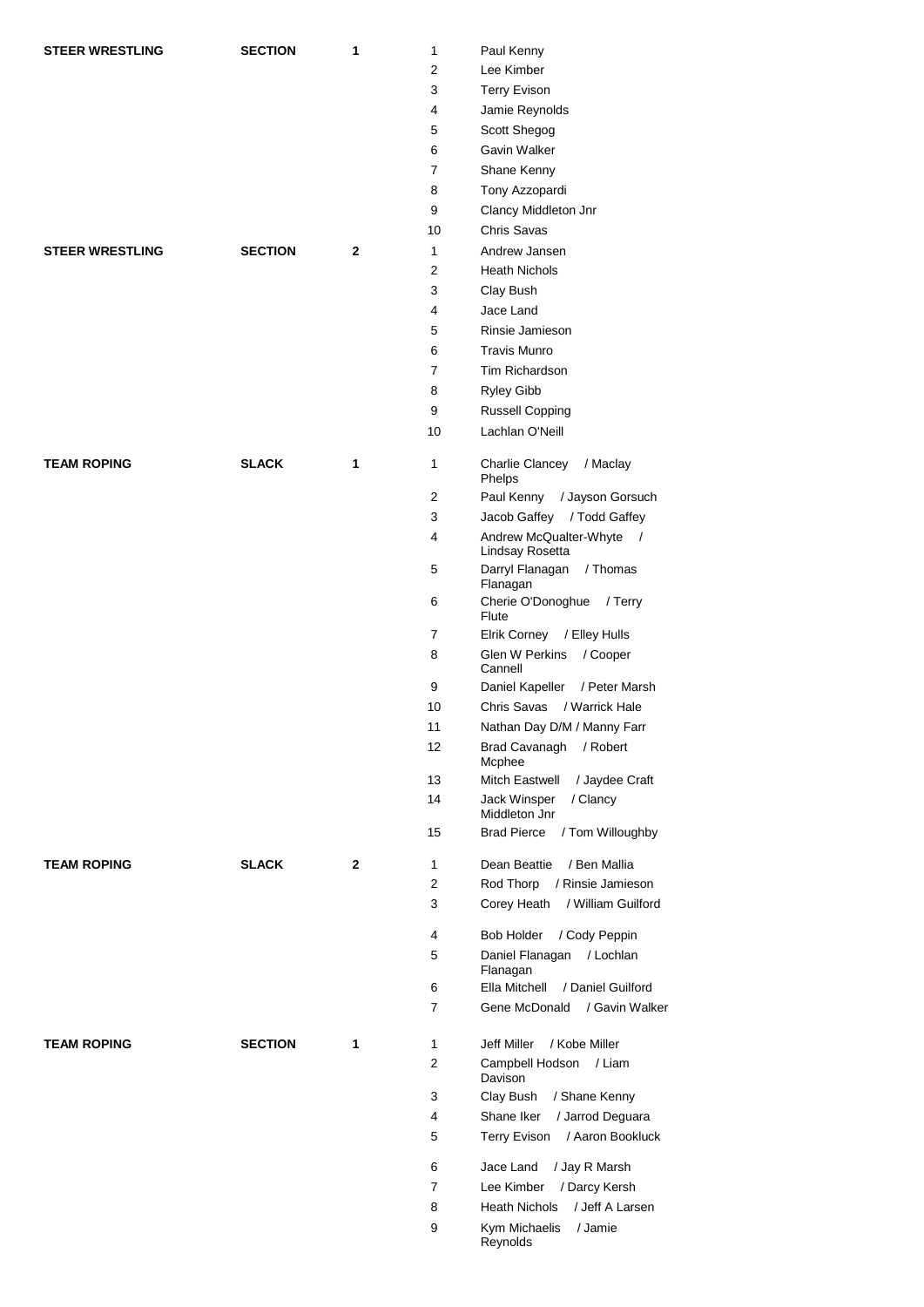| <b>STEER WRESTLING</b> | <b>SECTION</b> | 1            | 1              | Paul Kenny                                   |
|------------------------|----------------|--------------|----------------|----------------------------------------------|
|                        |                |              | 2              | Lee Kimber                                   |
|                        |                |              | 3              | <b>Terry Evison</b>                          |
|                        |                |              | 4              | Jamie Reynolds                               |
|                        |                |              | 5              | Scott Shegog                                 |
|                        |                |              | 6              | Gavin Walker                                 |
|                        |                |              | 7              |                                              |
|                        |                |              |                | Shane Kenny                                  |
|                        |                |              | 8              | Tony Azzopardi                               |
|                        |                |              | 9              | Clancy Middleton Jnr                         |
|                        |                |              | 10             | Chris Savas                                  |
| <b>STEER WRESTLING</b> | <b>SECTION</b> | 2            | 1              | Andrew Jansen                                |
|                        |                |              | 2              | <b>Heath Nichols</b>                         |
|                        |                |              | 3              | Clay Bush                                    |
|                        |                |              | 4              | Jace Land                                    |
|                        |                |              | 5              | Rinsie Jamieson                              |
|                        |                |              | 6              | <b>Travis Munro</b>                          |
|                        |                |              | 7              | Tim Richardson                               |
|                        |                |              | 8              | Ryley Gibb                                   |
|                        |                |              | 9              |                                              |
|                        |                |              |                | Russell Copping                              |
|                        |                |              | 10             | Lachlan O'Neill                              |
| <b>TEAM ROPING</b>     | <b>SLACK</b>   | 1            | 1              | Charlie Clancey<br>/ Maclay<br>Phelps        |
|                        |                |              | 2              | Paul Kenny<br>/ Jayson Gorsuch               |
|                        |                |              | 3              | Jacob Gaffey / Todd Gaffey                   |
|                        |                |              | 4              | Andrew McQualter-Whyte /<br>Lindsay Rosetta  |
|                        |                |              | 5              | Darryl Flanagan<br>/ Thomas<br>Flanagan      |
|                        |                |              | 6              | Cherie O'Donoghue<br>/ Terry<br>Flute        |
|                        |                |              | 7              | / Elley Hulls<br>Elrik Corney                |
|                        |                |              | 8              | <b>Glen W Perkins</b><br>/ Cooper<br>Cannell |
|                        |                |              | 9              | Daniel Kapeller<br>/ Peter Marsh             |
|                        |                |              | 10             | Chris Savas<br>/ Warrick Hale                |
|                        |                |              | 11             | Nathan Day D/M / Manny Farr                  |
|                        |                |              | 12             | <b>Brad Cavanagh</b><br>/ Robert<br>Mcphee   |
|                        |                |              | 13             | Mitch Eastwell<br>/ Jaydee Craft             |
|                        |                |              | 14             | Jack Winsper<br>/ Clancy<br>Middleton Jnr    |
|                        |                |              | 15             | <b>Brad Pierce</b><br>/ Tom Willoughby       |
| <b>TEAM ROPING</b>     | <b>SLACK</b>   | $\mathbf{2}$ | 1              | / Ben Mallia<br>Dean Beattie                 |
|                        |                |              | $\overline{2}$ | Rod Thorp<br>/ Rinsie Jamieson               |
|                        |                |              | 3              | Corey Heath<br>/ William Guilford            |
|                        |                |              | 4              | <b>Bob Holder</b><br>/ Cody Peppin           |
|                        |                |              | 5              | Daniel Flanagan / Lochlan<br>Flanagan        |
|                        |                |              | 6              | / Daniel Guilford<br>Ella Mitchell           |
|                        |                |              | 7              | / Gavin Walker<br>Gene McDonald              |
| <b>TEAM ROPING</b>     | <b>SECTION</b> | 1            | 1              | Jeff Miller<br>/ Kobe Miller                 |
|                        |                |              | $\overline{2}$ | Campbell Hodson / Liam<br>Davison            |
|                        |                |              | 3              | Clay Bush<br>/ Shane Kenny                   |
|                        |                |              | 4              | Shane Iker<br>/ Jarrod Deguara               |
|                        |                |              | 5              | Terry Evison / Aaron Bookluck                |
|                        |                |              |                |                                              |
|                        |                |              | 6              | Jace Land<br>/ Jay R Marsh                   |
|                        |                |              | 7              | / Darcy Kersh<br>Lee Kimber                  |
|                        |                |              | 8              | / Jeff A Larsen<br><b>Heath Nichols</b>      |
|                        |                |              | 9              | Kym Michaelis<br>/ Jamie<br>Reynolds         |
|                        |                |              |                |                                              |